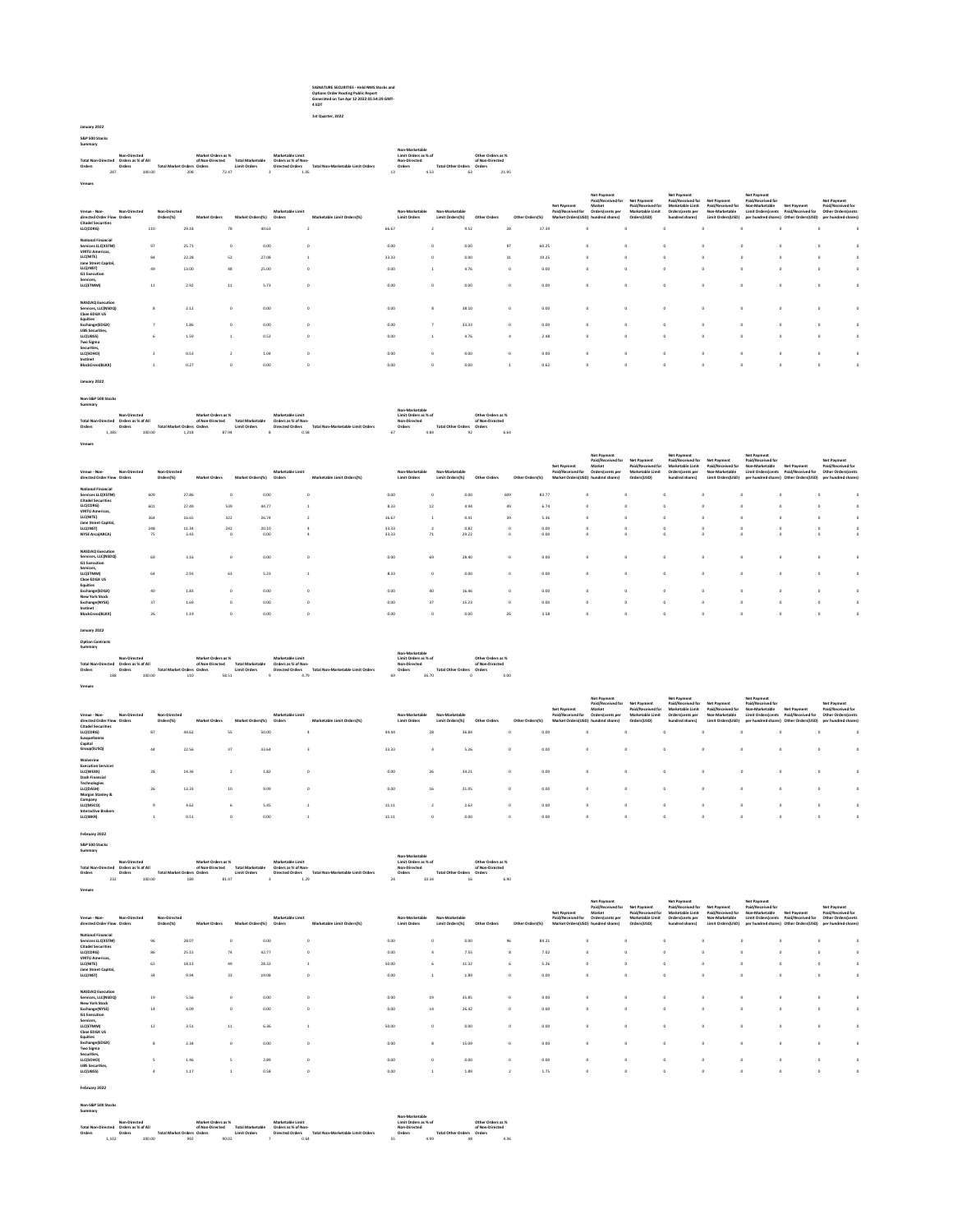# **SIGNATURE SECURITIES - Held NMS Stocks and Options Order Routing Public Report Generated on Tue Apr 12 2022 01:54:29 GMT-4 EDT 1st Quarter, 2022**

**January 2022 S&P 500 Stocks Summary**

**Venues**

|                           | Non-Directed       |        |                             | Market Orders as % |                         | Marketable Limit    |                                   | Non-Marketable<br>Limit Orders as % of |      |                    | Other Orders as % |
|---------------------------|--------------------|--------|-----------------------------|--------------------|-------------------------|---------------------|-----------------------------------|----------------------------------------|------|--------------------|-------------------|
| <b>Total Non-Directed</b> | Orders as % of All |        |                             | of Non-Directed    | <b>Total Marketable</b> | Orders as % of Non- |                                   | Non-Directed                           |      |                    | of Non-Directed   |
| Orders                    | Orders             |        | Total Market Orders, Orders |                    | <b>Limit Orders</b>     | Directed Orders     | Total Non-Marketable Limit Orders | Orders                                 |      | Total Other Orders | Orders            |
|                           | 287                | 100.00 | 208                         | 72.47              |                         | 1.05                |                                   | 13                                     | 4.53 | 63                 | 21.95             |

| Non-Directed<br>Venue - Non-<br>directed Order Flow Orders<br><b>Citadel Securities</b><br>LLC(CDRG)                                                                                | Non-Directed<br>Orders(%)<br>110 | <b>Market Orders</b><br>29.18   | Market Orders(%)<br>78     | Marketable Limit<br>Orders<br>40.63 | Marketable Limit Orders(%) | <b>Limit Orders</b><br>66.67  | Non-Marketable | Non-Marketable<br>Limit Orders(%) | Other Orders<br>9.52           | Other Orders(%)<br>28 | Net Payment<br>Paid/Received for<br>17.39 | <b>Net Payment</b><br>Paid/Received for<br>Market<br>Orders(cents per<br>Market Orders(USD) hundred shares) | Net Payment<br>Paid/Received for<br>Marketable Limit<br>Orders(USD) | <b>Net Payment</b><br>Paid/Received for<br>Marketable Limit<br>Orders/cents per<br>hundred shares) | Net Payment<br>Paid/Received<br>Non-Marketable<br>Limit Orders(USD)<br>$\Omega$ | <b>Net Payment</b><br>Paid/Received for<br>Non-Marketable<br><b>Limit Ordersfcents</b> | Net Payment<br>Paid/Received for<br>per hundred shares) Other Orders(USD)<br>$\alpha$ | <b>Net Payment</b><br>Paid/Received for<br>Other Orders cents<br>per hundred shares! |  |
|-------------------------------------------------------------------------------------------------------------------------------------------------------------------------------------|----------------------------------|---------------------------------|----------------------------|-------------------------------------|----------------------------|-------------------------------|----------------|-----------------------------------|--------------------------------|-----------------------|-------------------------------------------|-------------------------------------------------------------------------------------------------------------|---------------------------------------------------------------------|----------------------------------------------------------------------------------------------------|---------------------------------------------------------------------------------|----------------------------------------------------------------------------------------|---------------------------------------------------------------------------------------|--------------------------------------------------------------------------------------|--|
| <b>National Financial</b><br>Services LLC(XSTM)<br><b>VIRTU Americas</b><br>LLC(NITE)<br>Jane Street Capital.<br>LLC(JNST)<br><b>G1 Execution</b><br>Services.<br>LLC(ETMM)         | 97<br>84<br>49<br>11             | 25.73<br>22.28<br>13.00<br>2.92 | $\Omega$<br>52<br>48<br>11 | 0.00<br>27.08<br>25.00<br>5.73      |                            | 0.00<br>33.33<br>0.00<br>0.00 |                |                                   | 0.00<br>0.00<br>4.76<br>0.00   | 97<br>31              | 60.25<br>19.25<br>0.00<br>0.00            | $\Omega$<br>$\Omega$                                                                                        |                                                                     |                                                                                                    | -O<br>$\Omega$<br>$\Omega$<br>$\sim$                                            |                                                                                        | $\Delta$<br>$\sim$                                                                    |                                                                                      |  |
| <b>NASDAO</b> Execution<br>Services, LLC(NSDQ)<br>Choe EDGX US<br>Equities<br>Exchange(EDGX)<br><b>UBS</b> Securities,<br>LLC(UBSS)<br><b>Two Sigma</b><br>Securities,<br>LLC(SOHO) |                                  | 2.12<br>1.86<br>1.59<br>0.53    | $\Omega$                   | 0.00<br>0.00<br>0.52<br>1.04        |                            | 0.00<br>0.00<br>0.00<br>0.00  |                |                                   | 38.10<br>33.33<br>4.76<br>0.00 |                       | 0.00<br>0.00<br>2.48<br>0.00              | $\Omega$<br>$\Omega$                                                                                        |                                                                     |                                                                                                    | $\Omega$<br>$\Omega$<br>-O<br>$\Omega$                                          |                                                                                        | $\sim$                                                                                |                                                                                      |  |
| Instinet<br><b>BlockCross(BLKX)</b>                                                                                                                                                 |                                  | 0.27                            | $\theta$                   | 0.00                                |                            | 0.00                          |                |                                   | 0.00                           |                       | 0.62                                      |                                                                                                             |                                                                     |                                                                                                    | $\Omega$                                                                        |                                                                                        |                                                                                       |                                                                                      |  |

## **January 2022**

| . .<br>٧ |
|----------|
|          |

|        |                                                       |  |                 |  |                         |  |                        |                                   |                   |              |  |                                  | Non-Marketable  |      |                   |  |      |
|--------|-------------------------------------------------------|--|-----------------|--|-------------------------|--|------------------------|-----------------------------------|-------------------|--------------|--|----------------------------------|-----------------|------|-------------------|--|------|
|        | Non-Directed<br>Total Non-Directed Orders as % of All |  |                 |  | Market Orders as %      |  |                        |                                   | Marketable Limit  |              |  | Limit Orders as % of             |                 |      | Other Orders as % |  |      |
|        | Orders                                                |  | of Non-Directed |  | <b>Total Marketable</b> |  | Orders as % of Non-    |                                   |                   | Non-Directed |  |                                  | of Non-Directed |      |                   |  |      |
| Orders | <b>Total Market Orders Orders</b>                     |  |                 |  | Limit Orders            |  | <b>Directed Orders</b> | Total Non-Marketable Limit Orders |                   | Orders       |  | <b>Total Other Orders Orders</b> |                 |      |                   |  |      |
|        | 1.385                                                 |  | 100.00          |  | 1.218                   |  | 87.94                  |                                   | $\mathbf{\times}$ | 0.58         |  | 67                               |                 | 4.84 | 92                |  | 6.64 |
|        |                                                       |  |                 |  |                         |  |                        |                                   |                   |              |  |                                  |                 |      |                   |  |      |
| Venues |                                                       |  |                 |  |                         |  |                        |                                   |                   |              |  |                                  |                 |      |                   |  |      |
|        |                                                       |  |                 |  |                         |  |                        |                                   |                   |              |  |                                  |                 |      |                   |  |      |

| Non-Directed<br>Venue - Non-<br>directed Order Flow Orders                                                                  | Non-Directed<br>Orders(%) | <b>Market Orders</b> | Market Orders(%) | Marketable Limit<br>Orders | Marketable Limit Orders(%) | Non-Marketable<br><b>Limit Orders</b> | Non-Marketable<br>Limit Orders(%) | Other Orders           | Other Orders(%)                  | Net Payment<br>Paid/Received for | <b>Net Payment</b><br>Paid/Received for<br>Market<br>Orders(cents per<br>Market Orders(USD) hundred shares) | <b>Net Payment</b><br>Paid/Received for<br>Marketable Limit<br>Orders(USD) | Net Payment<br>Paid/Received for<br>Marketable Limit<br>Orders/cents per<br>hundred shares) | Net Payment<br>Paid/Received for<br>Non-Marketable<br>Limit Orders(USD) | Net Payment<br>Paid/Received for<br>Non-Marketable<br><b>Limit Orders cents</b><br>per hundred shares) Other Orders(USD) | Net Payment<br>Paid/Received for | <b>Net Payment</b><br>Paid/Received for<br><b>Other Orders cents</b><br>per hundred shares! |   |
|-----------------------------------------------------------------------------------------------------------------------------|---------------------------|----------------------|------------------|----------------------------|----------------------------|---------------------------------------|-----------------------------------|------------------------|----------------------------------|----------------------------------|-------------------------------------------------------------------------------------------------------------|----------------------------------------------------------------------------|---------------------------------------------------------------------------------------------|-------------------------------------------------------------------------|--------------------------------------------------------------------------------------------------------------------------|----------------------------------|---------------------------------------------------------------------------------------------|---|
| <b>National Financial</b>                                                                                                   |                           |                      |                  |                            |                            |                                       |                                   |                        |                                  |                                  |                                                                                                             |                                                                            |                                                                                             |                                                                         |                                                                                                                          |                                  |                                                                                             |   |
| Services LLC(XSTM)<br><b>Citadel Securities</b>                                                                             | 609                       | 27.86                |                  | 0.00                       |                            | 0.00                                  | ٥                                 | 0.00                   | 609                              | 83.77                            | $\Omega$                                                                                                    |                                                                            | $\Omega$                                                                                    |                                                                         |                                                                                                                          |                                  |                                                                                             |   |
| LLC(CDRG)                                                                                                                   | 601                       | 27.49                | 539              | 44.77                      |                            | 8.33                                  | 12                                | 4.94                   | 49                               | 6.74                             | o.                                                                                                          |                                                                            | $\Omega$                                                                                    |                                                                         |                                                                                                                          |                                  |                                                                                             | O |
| <b>VIRTU Americas.</b>                                                                                                      |                           |                      |                  |                            |                            |                                       |                                   |                        |                                  |                                  |                                                                                                             |                                                                            |                                                                                             |                                                                         |                                                                                                                          |                                  |                                                                                             |   |
| LLC(NITE)                                                                                                                   | 364                       | 16.65                | 322              | 26.74                      |                            | 16.67                                 |                                   | 0.41                   | 39                               | 5.36                             | o.                                                                                                          |                                                                            | $\Omega$                                                                                    |                                                                         |                                                                                                                          |                                  |                                                                                             |   |
| Jane Street Capital,                                                                                                        |                           |                      |                  |                            |                            |                                       |                                   |                        |                                  |                                  |                                                                                                             |                                                                            |                                                                                             |                                                                         |                                                                                                                          |                                  |                                                                                             |   |
| LLC(JNST)<br><b>NYSE Arca(ARCA)</b>                                                                                         | 248<br>75                 | 11.34<br>3.43        | 242<br>$\Omega$  | 20.10<br>0.00              |                            | 33.33<br>33.33                        | 71                                | 0.82<br>29.22          | $\Omega$                         | 0.00<br>0.00                     | $\Omega$                                                                                                    |                                                                            | $\Omega$<br>$\Omega$                                                                        |                                                                         |                                                                                                                          |                                  |                                                                                             |   |
| <b>NASDAO</b> Execution<br>Services, LLC(NSDQ)<br><b>G1 Execution</b><br>Services.<br>LLC(ETMM)<br>Choe EDGX US<br>Equities | 69<br>64<br>40            | 3.16<br>2.93<br>1.83 | 63               | 0.00<br>5.23<br>0.00       |                            | 0.00<br>8.33                          | 69<br>$\Omega$<br>40              | 28.40<br>0.00<br>16.46 | $\Omega$<br>$\Omega$<br>$\Omega$ | 0.00<br>0.00<br>0.00             | $\sim$<br>$\Omega$                                                                                          |                                                                            |                                                                                             |                                                                         |                                                                                                                          |                                  |                                                                                             |   |
| Exchange(EDGX)<br><b>New York Stock</b>                                                                                     |                           |                      |                  |                            |                            | 0.00                                  |                                   |                        |                                  |                                  |                                                                                                             |                                                                            |                                                                                             |                                                                         |                                                                                                                          |                                  |                                                                                             |   |
| Exchange(NYSE)<br>Instinet                                                                                                  | 37                        | 1.69                 | $\Omega$         | 0.00                       |                            | 0.00                                  | 37                                | 15.23                  | $\Omega$                         | 0.00                             | o.                                                                                                          |                                                                            | $\Omega$                                                                                    |                                                                         | $\Omega$                                                                                                                 |                                  |                                                                                             | o |
| <b>BlockCross(BLKX)</b>                                                                                                     | 26                        | 1.19                 |                  | 0.00                       |                            | 0.00                                  | o.                                | 0.00                   | 26                               | 3.58                             | $\Omega$                                                                                                    |                                                                            | $\Omega$                                                                                    |                                                                         |                                                                                                                          |                                  |                                                                                             | o |

**January 2022 Option Contracts Summary**

| ---------                 |     |                              |                            |                    |                         |                     |                                   |    |                      |                           |                   |      |
|---------------------------|-----|------------------------------|----------------------------|--------------------|-------------------------|---------------------|-----------------------------------|----|----------------------|---------------------------|-------------------|------|
|                           |     |                              |                            |                    |                         |                     |                                   |    | Non-Marketable       |                           |                   |      |
|                           |     | Non-Directed                 |                            | Market Orders as % |                         | Marketable Limit    |                                   |    | Limit Orders as % of |                           | Other Orders as % |      |
| <b>Total Non-Directed</b> |     | Orders as % of All<br>Orders |                            | of Non-Directed    | <b>Total Marketable</b> | Orders as % of Non- |                                   |    | Non-Directed         |                           | of Non-Directed   |      |
| Orders                    |     |                              | Total Market Orders Orders |                    | <b>Limit Orders</b>     | Directed Orders     | Total Non-Marketable Limit Orders |    | Orders               | Total Other Orders Orders |                   |      |
|                           | 188 | 100.00                       | 110                        | 58.51              |                         | 4.79                |                                   | 69 | 36.70                |                           |                   | 0.00 |
|                           |     |                              |                            |                    |                         |                     |                                   |    |                      |                           |                   |      |
| Venues                    |     |                              |                            |                    |                         |                     |                                   |    |                      |                           |                   |      |

| Non-Directed<br>Venue - Non-<br>directed Order Flow Orders<br><b>Citadel Securities</b> |    | Non-Directed<br>Orders(%) | <b>Market Orders</b> | Market Orders(%) | Marketable Limit<br>Orders | Marketable Limit Orders(%) |       | Non-Marketable<br><b>Limit Orders</b> | Non-Marketable<br>Limit Ordersf% | Other Orders | Other Orders(%) | Net Payment<br>Paid/Received for | <b>Net Payment</b><br>Paid/Received for<br>Market<br>Orders (cents per<br>Market Orders(USD) hundred shares) | <b>Net Payment</b><br>Paid/Received for<br>Marketable Limit<br>Orders(USD) | <b>Net Payment</b><br>Paid/Received for<br>Marketable Limit<br>Orders/cents per<br>hundred shares) | Net Payment<br>Paid/Received for<br>Non-Marketable<br>Limit Orders(USD) | Net Payment<br>Paid/Received for<br>Non-Marketable<br>Limit Orders(cents)<br>per hundred shares) Other Orders(USD) | Net Payment<br>Paid/Received for | <b>Net Payment</b><br>Paid/Received for<br>Other Orders/cents<br>per hundred shares) |  |
|-----------------------------------------------------------------------------------------|----|---------------------------|----------------------|------------------|----------------------------|----------------------------|-------|---------------------------------------|----------------------------------|--------------|-----------------|----------------------------------|--------------------------------------------------------------------------------------------------------------|----------------------------------------------------------------------------|----------------------------------------------------------------------------------------------------|-------------------------------------------------------------------------|--------------------------------------------------------------------------------------------------------------------|----------------------------------|--------------------------------------------------------------------------------------|--|
| LLC(CDRG)<br>Susquehanna                                                                | 87 | 44.62                     |                      | 55               | 50.00                      |                            | 44.44 | 28                                    |                                  | 36.84        | $\Omega$        | 0.00                             |                                                                                                              | $^{\circ}$                                                                 |                                                                                                    | $\Omega$                                                                |                                                                                                                    | $\circ$                          |                                                                                      |  |
| Capital<br>Group(SUSQ)                                                                  | 44 | 22.56                     |                      | 37               | 33.64                      |                            | 33.33 |                                       |                                  | 5.26         | $\Omega$        | 0.00                             |                                                                                                              | $^{\circ}$                                                                 |                                                                                                    | $\Omega$                                                                |                                                                                                                    | $\circ$                          |                                                                                      |  |
| Wolverine<br><b>Execution Services</b><br>LLC(WEXX)<br><b>Dash Financial</b>            | 28 | 14.36                     |                      |                  | 1.82                       |                            | 0.00  | 26                                    |                                  | 34.21        | $\Omega$        | 0.00                             |                                                                                                              | $^{\circ}$                                                                 |                                                                                                    | $\Omega$                                                                |                                                                                                                    | $\Omega$                         |                                                                                      |  |
| <b>Technologies</b><br>LLC(DASH)<br>Morgan Stanley &                                    | 26 | 13.33                     |                      | 10               | 9.09                       |                            | 0.00  | 16                                    |                                  | 21.05        | $\Omega$        | 0.00                             |                                                                                                              | $^{\circ}$                                                                 |                                                                                                    | $\Omega$                                                                |                                                                                                                    | $\Omega$                         |                                                                                      |  |
| Company<br>LLC(MSCO)<br><b>Interactive Brokers</b>                                      |    | 4.62                      |                      |                  | 5.45                       |                            | 11.11 |                                       |                                  | 2.63         | $\circ$         | 0.00                             |                                                                                                              | $\circ$                                                                    |                                                                                                    | $\Omega$                                                                |                                                                                                                    | $\Omega$                         |                                                                                      |  |
| LLC(IBKR)                                                                               |    | 0.51                      |                      | $^{\circ}$       | 0.00                       |                            | 11.11 |                                       | 0                                | 0.00         | $\Omega$        | 0.00                             |                                                                                                              | $\circ$                                                                    |                                                                                                    | $\Omega$                                                                |                                                                                                                    | $\Omega$                         |                                                                                      |  |

# **February 2022 S&P 500 Stocks Summary**

**Venues**

| Summary                                                                                                                                                                            |                   |
|------------------------------------------------------------------------------------------------------------------------------------------------------------------------------------|-------------------|
| Non-Marketable                                                                                                                                                                     |                   |
| Marketable Limit<br>Market Orders as %<br>Limit Orders as % of<br>Non-Directed                                                                                                     | Other Orders as % |
| <b>Total Marketable</b><br>Orders as % of All<br>Orders as % of Non-<br>Non-Directed<br>of Non-Directed<br><b>Total Non-Directed</b>                                               | of Non-Directed   |
| <b>Limit Orders</b><br>Total Non-Marketable Limit Orders<br><b>Total Other Orders</b><br>Orders<br><b>Total Market Orders Orders</b><br><b>Directed Orders</b><br>Orders<br>Orders | Orders            |
| 232<br>100.00<br>10.34<br>189<br>1.29<br>81.47<br>24                                                                                                                               | 6.91<br>16        |
|                                                                                                                                                                                    |                   |

| Non-Directed<br>Venue - Non-<br>directed Order Flow Orders                   | Non-Directed<br>Orders(%) | <b>Market Orders</b> | Market Orders(%) | Marketable Limit<br>Orders | Marketable Limit Orders(%) | Non-Marketable<br><b>Limit Orders</b> | Non-Marketable<br>Limit Orders(%) | Other Orders | Other Orders(%) | Net Payment<br>Paid/Received for | <b>Net Payment</b><br>Paid/Received for<br>Market<br>Orders(cents per<br>Market Orders(USD) hundred shares) | Net Payment<br>Paid/Received for<br>Marketable Limit<br>Orders(USD) | <b>Net Payment</b><br>Paid/Received for<br>Marketable Limit<br>Orders/cents per<br>hundred shares) | Net Payment<br><b>Paid/Received for</b><br>Non-Marketable<br>Limit Orders(USD) | <b>Net Payment</b><br>Paid/Received for<br>Non-Marketable | Net Payment<br>Limit Orders(cents Paid/Received for<br>per hundred shares) Other Orders(USD) | <b>Net Payment</b><br>Paid/Received for<br>Other Orders(cents)<br>per hundred shares) |  |
|------------------------------------------------------------------------------|---------------------------|----------------------|------------------|----------------------------|----------------------------|---------------------------------------|-----------------------------------|--------------|-----------------|----------------------------------|-------------------------------------------------------------------------------------------------------------|---------------------------------------------------------------------|----------------------------------------------------------------------------------------------------|--------------------------------------------------------------------------------|-----------------------------------------------------------|----------------------------------------------------------------------------------------------|---------------------------------------------------------------------------------------|--|
| <b>National Financial</b><br>Services LLC(XSTM)<br><b>Citadel Securities</b> | 96                        | 28.07                | $\Omega$         | 0.00                       | $\Omega$                   | 0.00                                  |                                   | 0.00         | 96              | 84.21                            | $\Omega$                                                                                                    |                                                                     |                                                                                                    |                                                                                | n                                                         |                                                                                              |                                                                                       |  |
| LLC(CDRG)<br><b>VIRTU Americas</b>                                           | 86                        | 25.15                | 74               | 42.77                      | $\Omega$                   | 0.00                                  |                                   | 7.55         |                 | 7.02                             | $\Omega$                                                                                                    |                                                                     | $\Omega$                                                                                           | $\Omega$                                                                       | o.                                                        |                                                                                              |                                                                                       |  |
| LLC(NITE)<br>Jane Street Capital.                                            | 62                        | 18.13                | 49               | 28.32                      |                            | 50.00                                 |                                   | 11.32        |                 | 5.26                             | $\Omega$                                                                                                    |                                                                     | $\Omega$                                                                                           | o                                                                              | o.                                                        | $\Omega$                                                                                     |                                                                                       |  |
| LLC(JNST)                                                                    | 34                        | 9.94                 | 33               | 19.08                      | $\Omega$                   | 0.00                                  |                                   | 1.89         | $\Omega$        | 0.00                             | $\Omega$                                                                                                    |                                                                     |                                                                                                    | $\sim$                                                                         | $\alpha$                                                  | $\sim$                                                                                       |                                                                                       |  |
| <b>NASDAO</b> Execution<br>Services, LLC(NSDO)<br>New York Stock             | 19                        | 5.56                 | $\Omega$         | 0.00                       | $\Omega$                   | 0.00                                  | 19                                | 35.85        | $\Omega$        | 0.00                             | $\Omega$                                                                                                    |                                                                     |                                                                                                    |                                                                                | n                                                         |                                                                                              |                                                                                       |  |
| Exchange(NYSE)<br><b>G1 Execution</b>                                        | 14                        | 4.09                 | $\sim$           | 0.00                       | $\Omega$                   | 0.00                                  | 14                                | 26.42        | $\Omega$        | 0.00                             | $\sim$                                                                                                      |                                                                     | $\sim$                                                                                             | $\sim$                                                                         | $\sim$                                                    | $\Omega$                                                                                     |                                                                                       |  |
| Services,<br>LLC(ETMM)<br>Choe EDGX US                                       | 12                        | 3.51                 | 11               | 6.36                       |                            | 50.00                                 | $\sim$                            | 0.00         | $\Omega$        | 0.00                             | $\sim$                                                                                                      |                                                                     |                                                                                                    | $\sim$                                                                         | $\sim$                                                    |                                                                                              |                                                                                       |  |
| Equities<br>Exchange(EDGX)<br>Two Sigma<br>Securities.                       |                           | 2.34                 | $\Omega$         | 0.00                       | $\Omega$                   | 0.00                                  |                                   | 15.09        | $\Omega$        | 0.00                             |                                                                                                             |                                                                     |                                                                                                    |                                                                                | n                                                         |                                                                                              |                                                                                       |  |
| LLC(SOHO)<br><b>UBS</b> Securities,                                          |                           | 1.46                 |                  | 2.89                       | $\Omega$                   | 0.00                                  | o.                                | 0.00         | $\Omega$        | 0.00                             | $\Omega$                                                                                                    |                                                                     |                                                                                                    |                                                                                | o.                                                        |                                                                                              |                                                                                       |  |
| LLC(UBSS)                                                                    | $\Delta$                  | 1.17                 |                  | 0.58                       | $\Omega$                   | 0.00                                  |                                   | 1.89         | $\overline{ }$  | 1.75                             | $\Omega$                                                                                                    |                                                                     | $\Omega$                                                                                           | $\sim$                                                                         | $\Omega$                                                  | $\Omega$                                                                                     |                                                                                       |  |

### **February 2022**

|                    | Non-S&P 500 Stocks |                    |                                   |                    |                         |                     |                                   |    |                      |                    |                   |      |
|--------------------|--------------------|--------------------|-----------------------------------|--------------------|-------------------------|---------------------|-----------------------------------|----|----------------------|--------------------|-------------------|------|
| Summary            |                    |                    |                                   |                    |                         |                     |                                   |    |                      |                    |                   |      |
|                    |                    |                    |                                   |                    |                         |                     |                                   |    | Non-Marketable       |                    |                   |      |
|                    |                    | Non-Directed       |                                   | Market Orders as % |                         | Marketable Limit    |                                   |    | Limit Orders as % of |                    | Other Orders as % |      |
| Total Non-Directed |                    | Orders as % of All |                                   | of Non-Directed    | <b>Total Marketable</b> | Orders as % of Non- |                                   |    | Non-Directed         |                    | of Non-Directed   |      |
| Orders             |                    | Orders             | <b>Total Market Orders Orders</b> |                    | <b>Limit Orders</b>     | Directed Orders     | Total Non-Marketable Limit Orders |    | Orders               | Total Other Orders | Orders            |      |
|                    | 1.102              | 100.00             | 992                               | 90.02              |                         |                     | 0.64                              | 55 | 4.99                 | 48                 |                   | 4.36 |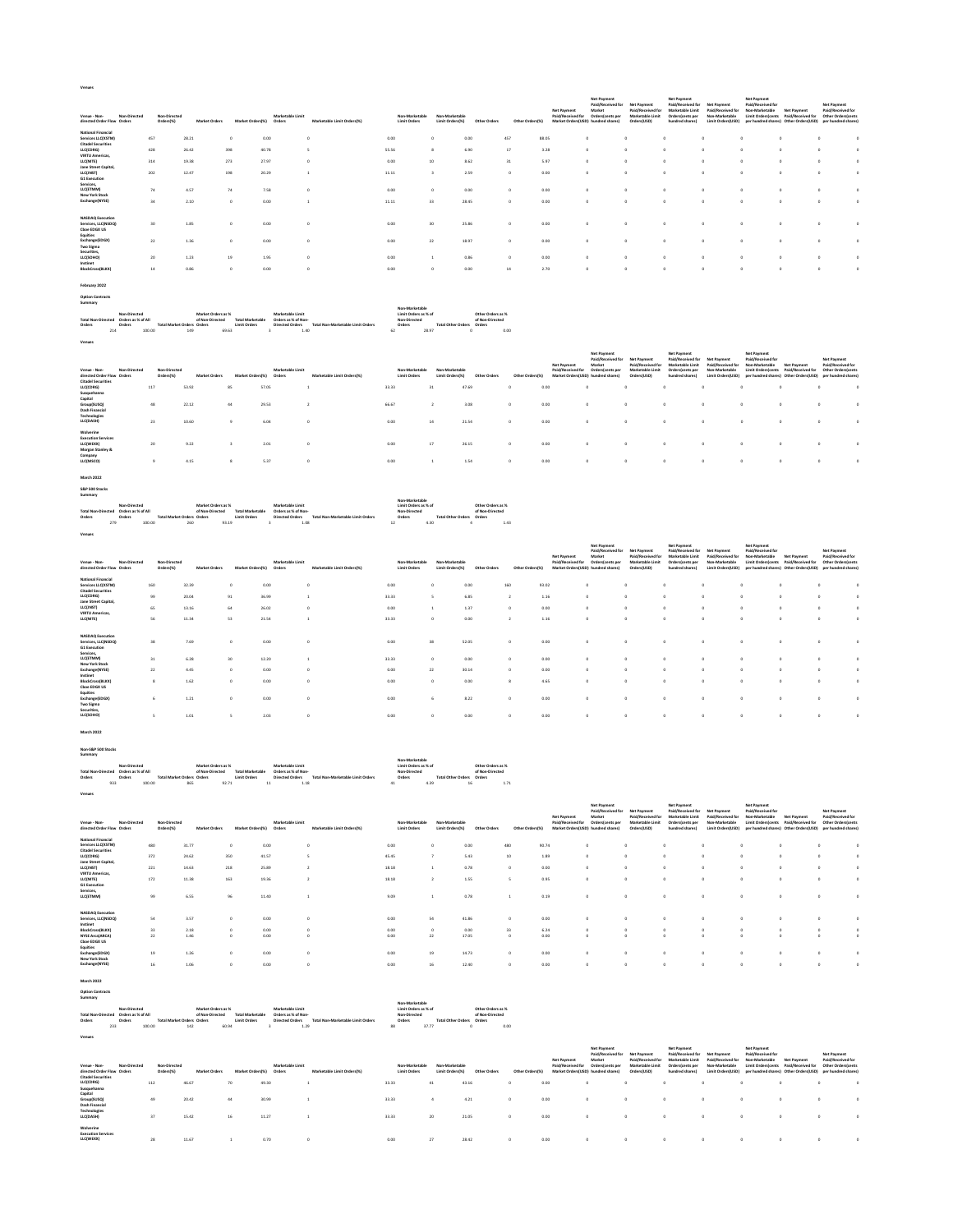| i |  |  |  |
|---|--|--|--|

| Non-Directed<br>Venue - Non-<br>directed Order Flow Orders                   | Non-Directed<br>Orders(%) | <b>Market Orders</b> | Market Orders(%) | Marketable Limit<br>Orders | Marketable Limit Orders(%) | Non-Marketable<br><b>Limit Orders</b> | Non-Marketable<br>Limit Orders(%) | Other Orders | Other Orders/%) | Net Payment<br>Paid/Received for | <b>Net Payment</b><br>Paid/Received for<br>Market<br>Orders(cents per<br>Market Orders(USD) hundred shares) | Net Payment<br>Paid/Received for<br>Marketable Limit<br>Orders(USD) | <b>Net Payment</b><br>Paid/Received for<br>Marketable Limit<br>Orders(cents per<br>hundred shares) | Net Payment<br>Paid/Received for<br>Non-Marketable<br>Limit Orders(USD) | Net Payment<br>Paid/Received for<br>Non-Marketable<br><b>Limit Ordersfcents</b><br>per hundred shares) Other Orders(USD) | Net Payment<br>Paid/Received for | <b>Net Payment</b><br>Paid/Received for<br>Other Orders cents<br>per hundred shares! |  |
|------------------------------------------------------------------------------|---------------------------|----------------------|------------------|----------------------------|----------------------------|---------------------------------------|-----------------------------------|--------------|-----------------|----------------------------------|-------------------------------------------------------------------------------------------------------------|---------------------------------------------------------------------|----------------------------------------------------------------------------------------------------|-------------------------------------------------------------------------|--------------------------------------------------------------------------------------------------------------------------|----------------------------------|--------------------------------------------------------------------------------------|--|
| <b>National Financial</b><br>Services LLC(XSTM)<br><b>Citadel Securities</b> | 457                       | 28.21                |                  | 0.00                       |                            | 0.00                                  |                                   | 0.00         | 457             | 88.05                            |                                                                                                             |                                                                     |                                                                                                    |                                                                         |                                                                                                                          |                                  |                                                                                      |  |
| LLC(CDRG)<br><b>VIRTU Americas</b>                                           | 428                       | 26.42                | 398              | 40.78                      |                            | 55.56                                 |                                   | 6.90         | 17              | 3.28                             | $\Omega$                                                                                                    |                                                                     |                                                                                                    | $\Omega$                                                                | $\sim$                                                                                                                   |                                  |                                                                                      |  |
| LLC(NITE)<br>Jane Street Capital.                                            | 314                       | 19.38                | 273              | 27.97                      |                            | 0.00                                  | 10                                | 8.62         | 31              | 5.97                             | $\Omega$                                                                                                    |                                                                     |                                                                                                    | -O                                                                      | $\Omega$                                                                                                                 |                                  |                                                                                      |  |
| LLC(JNST)<br><b>G1 Execution</b>                                             | 202                       | 12.47                | 198              | 20.29                      |                            | 11.11                                 |                                   | 2.59         |                 | 0.00                             |                                                                                                             |                                                                     |                                                                                                    | $\Omega$                                                                | $\Omega$                                                                                                                 |                                  |                                                                                      |  |
| Services,<br>LLC(ETMM)<br>New York Stock                                     | 74                        | 4.57                 | 74               | 7.58                       |                            | 0.00                                  |                                   | 0.00         |                 | 0.00                             |                                                                                                             |                                                                     |                                                                                                    | $\Omega$                                                                |                                                                                                                          |                                  |                                                                                      |  |
| Exchange(NYSE)                                                               | 34                        | 2.10                 | $\Omega$         | 0.00                       |                            | 11.11                                 | 33                                | 28.45        |                 | 0.00                             | $\Omega$                                                                                                    |                                                                     |                                                                                                    | $\Omega$                                                                | $\Omega$                                                                                                                 |                                  |                                                                                      |  |
| <b>NASDAQ Execution</b>                                                      |                           |                      |                  |                            |                            |                                       |                                   |              |                 |                                  |                                                                                                             |                                                                     |                                                                                                    |                                                                         |                                                                                                                          |                                  |                                                                                      |  |
| Services, LLCINSDO1<br>Choe EDGX US                                          | 30                        | 1.85                 |                  | 0.00                       |                            | 0.00                                  | 30                                | 25.86        |                 | 0.00                             |                                                                                                             |                                                                     |                                                                                                    |                                                                         |                                                                                                                          |                                  |                                                                                      |  |
| Equities<br>Exchange(EDGX)<br><b>Two Sigma</b>                               | 22                        | 1.36                 |                  | 0.00                       |                            | 0.00                                  | 22                                | 18.97        |                 | 0.00                             |                                                                                                             |                                                                     |                                                                                                    | $\Omega$                                                                |                                                                                                                          |                                  |                                                                                      |  |
| Securities.<br>LLC(SOHO)                                                     | 20                        | 1.23                 | 19               | 1.95                       |                            | 0.00                                  |                                   | 0.86         |                 | 0.00                             |                                                                                                             |                                                                     |                                                                                                    | $\Omega$                                                                |                                                                                                                          |                                  |                                                                                      |  |
| Instinet<br><b>BlockCross(BLKX)</b>                                          | 14                        | 0.86                 |                  | 0.00                       |                            | 0.00                                  |                                   | 0.00         | 14              | 2.70                             |                                                                                                             |                                                                     |                                                                                                    | $\Omega$                                                                |                                                                                                                          |                                  |                                                                                      |  |

**February 2022 Option Contracts Summary**

**Venues**

|        |     |                                       |                            |                    |                  |                     |                                   |              | Non-Marketanie       |                              |                   |
|--------|-----|---------------------------------------|----------------------------|--------------------|------------------|---------------------|-----------------------------------|--------------|----------------------|------------------------------|-------------------|
|        |     | Non-Directed                          |                            | Market Orders as % |                  | Marketable Limit    |                                   |              | Limit Orders as % of |                              | Other Orders as % |
|        |     | Total Non-Directed Orders as % of All |                            | of Non-Directed    | Total Marketable | Orders as % of Non- |                                   | Non-Directed |                      |                              | of Non-Directed   |
| Orders |     | Orders                                | Total Market Orders Orders |                    | Limit Orders     | Directed Orders     | Total Non-Marketable Limit Orders | Orders       |                      | Total Other Orders<br>Orders |                   |
|        | 214 | 100.00                                | 149                        | 69.63              |                  |                     | 1.40                              | 62           | 28.97                |                              | 0.00              |
|        |     |                                       |                            |                    |                  |                     |                                   |              |                      |                              |                   |
|        |     |                                       |                            |                    |                  |                     |                                   |              |                      |                              |                   |

| Venue - Non-<br>directed Order Flow Orders                              | Non-Directed | Non-Directed<br>Orders(%) | <b>Market Orders</b> | Market Orders(%) | Marketable Limit<br>Orders | Marketable Limit Orders(%) | Non-Marketable<br><b>Limit Orders</b> |    | Non-Marketable<br>Limit Orders(%) | Other Orders | Other Orders(%) | Net Payment<br>Paid/Received for | reet rupment<br>Paid/Received for<br>Market<br>Orders(cents per<br>Market Orders(USD) hundred shares) | <b>Net Payment</b><br>Paid/Received for<br>Marketable Limit<br>Orders(USD) | <b>INSERVATIONAL</b><br>Paid/Received for<br>Marketable Limit<br>Orders/cents per<br>hundred shares) | Net Payment<br><b>Paid/Received for</b><br>Non-Marketable<br>Limit Orders(USD) | <b>INSTERNATIONAL</b><br>Paid/Received for<br>Non-Marketable<br><b>Limit Ordersfcents</b><br>per hundred shares) Other Orders(USD) | Net Payment<br>Paid/Received for | <b>Net Payment</b><br>Paid/Received for<br>Other Orders(cents)<br>per hundred shares! |  |
|-------------------------------------------------------------------------|--------------|---------------------------|----------------------|------------------|----------------------------|----------------------------|---------------------------------------|----|-----------------------------------|--------------|-----------------|----------------------------------|-------------------------------------------------------------------------------------------------------|----------------------------------------------------------------------------|------------------------------------------------------------------------------------------------------|--------------------------------------------------------------------------------|------------------------------------------------------------------------------------------------------------------------------------|----------------------------------|---------------------------------------------------------------------------------------|--|
| <b>Citadel Securities</b><br>LLC(CDRG)<br>Susquehanna                   |              | 117                       | 53.92                | 85               | 57.05                      |                            | 33.33                                 | 31 | 47.69                             |              |                 | 0.00                             |                                                                                                       | $^{\circ}$                                                                 |                                                                                                      | $\Omega$                                                                       |                                                                                                                                    |                                  |                                                                                       |  |
| Capital<br>Group(SUSQ)<br><b>Dash Financial</b>                         |              | 48                        | 22.12                | 44               | 29.53                      |                            | 66.67                                 |    | 3.08                              |              |                 | 0.00                             | $\circ$                                                                                               | $^{\circ}$                                                                 |                                                                                                      | $\Omega$                                                                       | $\Omega$                                                                                                                           |                                  |                                                                                       |  |
| Technologies<br>LLC(DASH)                                               |              | 23                        | 10.60                | <b>Q</b>         | 6.04                       |                            | 0.00                                  | 14 | 21.54                             |              |                 | 0.00                             |                                                                                                       | $^{\circ}$                                                                 |                                                                                                      | $^{\circ}$                                                                     | $\Omega$                                                                                                                           |                                  |                                                                                       |  |
| Wolverine<br><b>Execution Services</b><br>LLC(WEXX)<br>Morgan Stanley & |              | 20                        | 9.22                 |                  | 2.01                       |                            | 0.00                                  | 17 | 26.15                             |              |                 | 0.00                             |                                                                                                       | $^{\circ}$                                                                 |                                                                                                      | $\circ$                                                                        | $\Omega$                                                                                                                           |                                  |                                                                                       |  |
| Company<br>LLC(MSCO)                                                    |              |                           | 4.15                 | 8                | 5.37                       |                            | 0.00                                  |    | 1.54                              |              |                 | 0.00                             | $\circ$                                                                                               | $^{\circ}$                                                                 |                                                                                                      | $\circ$                                                                        | $\Omega$                                                                                                                           |                                  |                                                                                       |  |

**March 2022 S&P 500 Stocks Summary**

**Venues**

| <b>Total Non-Directed</b> | Non-Directed<br>Orders as % of All |        |                             | Market Orders as %<br>of Non-Directed | <b>Total Marketable</b> | Marketable Limit<br>Orders as % of Non- |                                   | Non-Marketable<br>Limit Orders as % of<br>Non-Directed |                           | Other Orders as %<br>of Non-Directed |      |
|---------------------------|------------------------------------|--------|-----------------------------|---------------------------------------|-------------------------|-----------------------------------------|-----------------------------------|--------------------------------------------------------|---------------------------|--------------------------------------|------|
|                           |                                    |        |                             |                                       |                         |                                         |                                   |                                                        |                           |                                      |      |
| Orders                    | Orders                             |        | Total Market Orders, Orders |                                       | <b>Limit Orders</b>     | Directed Orders                         | Total Non-Marketable Limit Orders | Orders                                                 | Total Other Orders Orders |                                      |      |
|                           | 279                                | 100.00 | 260                         | 93.19                                 |                         | 1.08                                    |                                   | 12                                                     | 4.30                      |                                      | 1.4? |

| Venue - Non-<br>directed Order Flow Orders                                         | Non-Directed | Non-Directed<br>Orders(%) | <b>Market Orders</b> | Market Orders(%) | Marketable Limit<br>Orders | Marketable Limit Orders(%) | <b>Limit Orders</b> | Non-Marketable | Non-Marketable<br>Limit Orders(%) | Other Orders | Other Orders(%)          | Net Payment<br>Paid/Received for | <b>Net Payment</b><br>Paid/Received for<br>Market<br>Orders(cents per<br>Market Orders(USD) hundred shares) | Net Payment<br>Paid/Received for<br>Marketable Limit<br>Orders(USD) | Net Payment<br>Paid/Received for<br>Marketable Limit<br>Orders/cents per<br>hundred shares) | Net Payment<br>Paid/Received for<br>Non-Marketable<br>Limit Orders(USD) | <b>Net Payment</b><br>Paid/Received for<br>Non-Marketable<br><b>Limit Ordersfcents</b> | Net Payment<br>Paid/Received for<br>per hundred shares) Other Orders(USD) | <b>Net Payment</b><br>Paid/Received for<br>Other Orders(cents<br>per hundred shares! |          |
|------------------------------------------------------------------------------------|--------------|---------------------------|----------------------|------------------|----------------------------|----------------------------|---------------------|----------------|-----------------------------------|--------------|--------------------------|----------------------------------|-------------------------------------------------------------------------------------------------------------|---------------------------------------------------------------------|---------------------------------------------------------------------------------------------|-------------------------------------------------------------------------|----------------------------------------------------------------------------------------|---------------------------------------------------------------------------|--------------------------------------------------------------------------------------|----------|
| <b>National Financial</b>                                                          |              |                           |                      |                  |                            |                            |                     |                |                                   |              |                          |                                  |                                                                                                             |                                                                     |                                                                                             |                                                                         |                                                                                        |                                                                           |                                                                                      |          |
| Services LLC(XSTM)<br><b>Citadel Securities</b>                                    |              | 160                       | 32.39                |                  | 0.00                       |                            | 0.00                |                |                                   | 0.00         | 160                      | 93.02                            | $\Omega$                                                                                                    |                                                                     | $^{\circ}$                                                                                  | $\Omega$                                                                |                                                                                        |                                                                           |                                                                                      |          |
| LLC(CDRG)                                                                          |              | 99                        | 20.04                | 91               | 36.99                      |                            | 33.33               |                |                                   | 6.85         | $\overline{\phantom{a}}$ | 1.16                             | $\Omega$                                                                                                    |                                                                     | $\Omega$                                                                                    | $\sim$                                                                  | $\Omega$<br>$\sim$                                                                     |                                                                           |                                                                                      | $\Omega$ |
| Jane Street Capital,                                                               |              | 65                        |                      |                  |                            | $\Omega$                   |                     |                |                                   |              | $\Omega$                 |                                  | $\Omega$                                                                                                    |                                                                     | $\Omega$                                                                                    | $\Omega$                                                                | $\Omega$                                                                               |                                                                           |                                                                                      | £.       |
| LLC(JNST)<br><b>VIRTU Americas</b>                                                 |              |                           | 13.16                | 64               | 26.02                      |                            | 0.00                |                |                                   | 1.37         |                          | 0.00                             |                                                                                                             |                                                                     |                                                                                             |                                                                         |                                                                                        |                                                                           |                                                                                      |          |
| LLC(NITE)                                                                          |              | 56                        | 11.34                | 53               | 21.54                      |                            | 33.33               |                |                                   | 0.00         |                          | 1.16                             | $\Omega$                                                                                                    |                                                                     | $\Omega$                                                                                    | $\sim$                                                                  | $\Omega$                                                                               |                                                                           |                                                                                      |          |
| <b>NASDAO</b> Execution<br>Services, LLC(NSDO)<br><b>G1 Execution</b><br>Services. |              | 38                        | 7.69                 |                  | 0.00                       |                            | 0.00                | 38             | 52.05                             |              | $\Omega$                 | 0.00                             | $\Omega$                                                                                                    |                                                                     | $\Omega$                                                                                    | $\Omega$                                                                |                                                                                        |                                                                           |                                                                                      |          |
| LLC(ETMM)<br>New York Stock                                                        |              | 31                        | 6.28                 | 30               | 12.20                      |                            | 33.33               |                |                                   | 0.00         | $\theta$                 | 0.00                             | $\sim$                                                                                                      |                                                                     |                                                                                             |                                                                         |                                                                                        |                                                                           |                                                                                      | O        |
| Exchange(NYSE)                                                                     |              | $^{22}$                   | 4.45                 |                  | 0.00                       |                            | 0.00                | $22\,$         |                                   | 30.14        | $\Omega$                 | 0.00                             | $\Omega$                                                                                                    |                                                                     | $\Omega$                                                                                    | $\Omega$                                                                | $\Omega$                                                                               |                                                                           |                                                                                      | £.       |
| Instinet<br><b>BlockCross(BLKX)</b><br>Choe EDGX US                                |              | $\mathbf{x}$              | 1.62                 |                  | 0.00                       |                            | 0.00                |                |                                   | 0.00         |                          | 4.65                             | $\Omega$                                                                                                    |                                                                     | $\Omega$                                                                                    | $\Omega$                                                                | $\Delta$                                                                               |                                                                           |                                                                                      |          |
| Equities<br>Exchange(EDGX)<br><b>Two Sigma</b>                                     |              |                           | 1.21                 |                  | 0.00                       |                            | 0.00                |                |                                   | 8.22         | $\sim$                   | 0.00                             | $\Omega$                                                                                                    |                                                                     | $\Omega$                                                                                    | $\Omega$                                                                | $\Delta$                                                                               |                                                                           |                                                                                      |          |
| Securities,<br>LLC(SOHO)                                                           |              |                           | 1.01                 |                  | 2.03                       |                            | 0.00                |                |                                   | 0.00         |                          | 0.00                             | $\sim$                                                                                                      |                                                                     | $\sim$                                                                                      | $\sim$                                                                  |                                                                                        |                                                                           |                                                                                      |          |
| March 2022                                                                         |              |                           |                      |                  |                            |                            |                     |                |                                   |              |                          |                                  |                                                                                                             |                                                                     |                                                                                             |                                                                         |                                                                                        |                                                                           |                                                                                      |          |

**March 2022**

**Non-S&P 500 Stocks Summary**

| Total Non-Directed Orders as % of All<br>Orders<br>933 | Non-Directed<br>Orders<br>100.00 | <b>Total Market Orders Orders</b> | Market Orders as %<br>of Non-Directed<br>865 | <b>Total Marketable</b><br><b>Limit Orders</b><br>92.71 | Marketable Limit<br>Orders as % of Non-<br><b>Directed Orders</b><br>11 | Total Non-Marketable Limit Orders<br>1.18 | Non-Marketable<br>Limit Orders as % of<br>Non-Directed<br>Orders<br>41 | <b>Total Other Orders Orders</b><br>4.39 | Other Orders as %<br>of Non-Directed<br>16 | 1.71            |                                  |                                                                                                             |                                                                     |                                                                                                    |                                                                         |                                                    |                                                                                              |                                                                                             |          |
|--------------------------------------------------------|----------------------------------|-----------------------------------|----------------------------------------------|---------------------------------------------------------|-------------------------------------------------------------------------|-------------------------------------------|------------------------------------------------------------------------|------------------------------------------|--------------------------------------------|-----------------|----------------------------------|-------------------------------------------------------------------------------------------------------------|---------------------------------------------------------------------|----------------------------------------------------------------------------------------------------|-------------------------------------------------------------------------|----------------------------------------------------|----------------------------------------------------------------------------------------------|---------------------------------------------------------------------------------------------|----------|
| Venues                                                 |                                  |                                   |                                              |                                                         |                                                                         |                                           |                                                                        |                                          |                                            |                 |                                  |                                                                                                             |                                                                     |                                                                                                    |                                                                         |                                                    |                                                                                              |                                                                                             |          |
| Venue - Non-<br>directed Order Flow Orders             | Non-Directed                     | Non-Directed<br>Orders(%)         | <b>Market Orders</b>                         | Market Orders(%)                                        | Marketable Limit<br>Orders                                              | Marketable Limit Orders(%)                | Non-Marketable<br><b>Limit Orders</b>                                  | Non-Marketable<br>Limit Orders(%)        | Other Orders                               | Other Orders(%) | Net Payment<br>Paid/Received for | <b>Net Payment</b><br>Paid/Received for<br>Market<br>Orders(cents per<br>Market Orders(USD) hundred shares) | Net Payment<br>Paid/Received for<br>Marketable Limit<br>Orders(USD) | <b>Net Payment</b><br>Paid/Received for<br>Marketable Limit<br>Orders/cents per<br>hundred shares) | Net Payment<br>Paid/Received for<br>Non-Marketable<br>Limit Orders(USD) | Net Payment<br>Paid/Received for<br>Non-Marketable | Net Payment<br>Limit Orders(cents Paid/Received for<br>per hundred shares) Other Orders(USD) | <b>Net Payment</b><br>Paid/Received for<br><b>Other Orders/cents</b><br>per hundred shares) |          |
| <b>National Financial</b><br>Services LLC0(STM)        |                                  | 480                               |                                              |                                                         |                                                                         |                                           |                                                                        |                                          |                                            |                 |                                  |                                                                                                             | $\Omega$                                                            |                                                                                                    |                                                                         | $\Omega$                                           |                                                                                              |                                                                                             |          |
| <b>Citadel Securities</b>                              |                                  |                                   | 31.77                                        |                                                         | 0.00                                                                    | $\circ$                                   | 0.00                                                                   |                                          | 0.00                                       | 480             | 90.74                            |                                                                                                             |                                                                     |                                                                                                    |                                                                         |                                                    |                                                                                              |                                                                                             | $\circ$  |
| LLC/CDRG)                                              |                                  | 372                               | 24.62                                        | 350                                                     | 41.57                                                                   | ×.                                        | 45.45                                                                  | $\overline{z}$                           | 5.43                                       | 10              | 1.89                             |                                                                                                             | $\Omega$                                                            | $\Omega$                                                                                           |                                                                         | $\Omega$                                           |                                                                                              |                                                                                             | $\circ$  |
| Jane Street Capital.<br>LLC(JNST)                      |                                  | 221                               | 14.63                                        | 218                                                     | 25.89                                                                   | $\overline{2}$                            | 18.18                                                                  |                                          | 0.78                                       | $\Omega$        | 0.00                             |                                                                                                             | $\circ$                                                             | $\Omega$                                                                                           |                                                                         | $\Omega$                                           |                                                                                              |                                                                                             | $\circ$  |
| <b>VIRTU Americas.</b>                                 |                                  |                                   |                                              |                                                         |                                                                         |                                           |                                                                        |                                          |                                            |                 |                                  |                                                                                                             |                                                                     |                                                                                                    |                                                                         |                                                    |                                                                                              |                                                                                             |          |
| LLC(NITE)                                              |                                  | 172                               | 11.38                                        | 163                                                     | 19.36                                                                   |                                           | 18.18                                                                  |                                          | 1.55                                       |                 | 0.95                             |                                                                                                             | $\Omega$                                                            | ň                                                                                                  |                                                                         | $\Omega$                                           |                                                                                              |                                                                                             | $\circ$  |
| G1 Execution<br>Services,                              |                                  |                                   |                                              |                                                         |                                                                         |                                           |                                                                        |                                          |                                            |                 |                                  |                                                                                                             |                                                                     |                                                                                                    |                                                                         |                                                    |                                                                                              |                                                                                             |          |
| LLC(ETMM)                                              |                                  | 99                                | 6.55                                         | 96                                                      | 11.40                                                                   |                                           | 9.09                                                                   |                                          | 0.78                                       |                 | 0.19                             |                                                                                                             | $\sim$                                                              | ó                                                                                                  |                                                                         | $\sim$                                             | ó                                                                                            |                                                                                             | $\circ$  |
|                                                        |                                  |                                   |                                              |                                                         |                                                                         |                                           |                                                                        |                                          |                                            |                 |                                  |                                                                                                             |                                                                     |                                                                                                    |                                                                         |                                                    |                                                                                              |                                                                                             |          |
| <b>NASDAQ Execution</b>                                |                                  |                                   |                                              |                                                         |                                                                         |                                           |                                                                        |                                          |                                            |                 |                                  |                                                                                                             |                                                                     |                                                                                                    |                                                                         |                                                    |                                                                                              |                                                                                             |          |
| Services, LLC(NSDQ)<br>Instinet                        |                                  | 54                                | 3.57                                         |                                                         | 0.00                                                                    | o.                                        | 0.00                                                                   | 54                                       | 41.86                                      | $\Omega$        | 0.00                             |                                                                                                             | $\Omega$                                                            |                                                                                                    |                                                                         | ×                                                  |                                                                                              |                                                                                             | $\circ$  |
| <b>BlockCross(BLKX)</b>                                |                                  | 33                                | 2.18                                         |                                                         | 0.00                                                                    | $\circ$                                   | 0.00                                                                   | $\circ$                                  | 0.00                                       | 33              | 6.24                             |                                                                                                             | $\circ$                                                             | $\circ$                                                                                            |                                                                         | $\circ$                                            | $\circ$                                                                                      |                                                                                             | $\circ$  |
| <b>NYSE Arca(ARCA)</b>                                 |                                  | 22                                | 1.46                                         |                                                         | 0.00                                                                    | $\Omega$                                  | 0.00                                                                   | 22                                       | 17.05                                      | $\Omega$        | 0.00                             | $\sim$                                                                                                      | $\Omega$                                                            | $\sim$                                                                                             |                                                                         | $\sim$                                             |                                                                                              | $\Omega$                                                                                    | $\circ$  |
| Choe EDGX US<br>Equities                               |                                  |                                   |                                              |                                                         |                                                                         |                                           |                                                                        |                                          |                                            |                 |                                  |                                                                                                             |                                                                     |                                                                                                    |                                                                         |                                                    |                                                                                              |                                                                                             |          |
| Exchange(EDGX)                                         |                                  | 19                                | 1.26                                         |                                                         | 0.00                                                                    | $\circ$                                   | 0.00                                                                   | 19                                       | 14.73                                      | $\Omega$        | 0.00                             |                                                                                                             | $\Omega$                                                            | $\Omega$                                                                                           |                                                                         | $\Omega$                                           | $\Omega$                                                                                     |                                                                                             | $\Omega$ |
| <b>New York Stock</b>                                  |                                  |                                   |                                              |                                                         |                                                                         |                                           |                                                                        |                                          |                                            |                 |                                  |                                                                                                             |                                                                     |                                                                                                    |                                                                         |                                                    |                                                                                              |                                                                                             |          |
| Exchange(NYSE)                                         |                                  | 16                                | 1.06                                         |                                                         | 0.00                                                                    | $\Omega$                                  | 0.00                                                                   | 16                                       | 12.40                                      | $\Omega$        | 0.00                             |                                                                                                             | $\Omega$                                                            | $\Omega$                                                                                           |                                                                         | $\Omega$                                           | $\Omega$                                                                                     |                                                                                             | $\Omega$ |
|                                                        |                                  |                                   |                                              |                                                         |                                                                         |                                           |                                                                        |                                          |                                            |                 |                                  |                                                                                                             |                                                                     |                                                                                                    |                                                                         |                                                    |                                                                                              |                                                                                             |          |

| <b>March 2022</b>                  |                    |        |                                   |                    |                         |                        |                                   |                      |                                  |                   |      |
|------------------------------------|--------------------|--------|-----------------------------------|--------------------|-------------------------|------------------------|-----------------------------------|----------------------|----------------------------------|-------------------|------|
| <b>Option Contracts</b><br>Summary |                    |        |                                   |                    |                         |                        |                                   |                      |                                  |                   |      |
|                                    |                    |        |                                   |                    |                         |                        |                                   | Non-Marketable       |                                  |                   |      |
|                                    | Non-Directed       |        |                                   | Market Orders as % |                         | Marketable Limit       |                                   | Limit Orders as % of |                                  | Other Orders as % |      |
| <b>Total Non-Directed</b>          | Orders as % of All |        |                                   | of Non-Directed    | <b>Total Marketable</b> | Orders as % of Non-    |                                   | Non-Directed         |                                  | of Non-Directed   |      |
| Orders                             | Orders             |        | <b>Total Market Orders Orders</b> |                    | Limit Orders            | <b>Directed Orders</b> | Total Non-Marketable Limit Orders | Orders               | <b>Total Other Orders Orders</b> |                   |      |
|                                    | 233                | 100.00 | 142                               | 60.94              |                         | 1.29                   |                                   | 88                   | 37.77                            |                   | 0.00 |

**Venues**

| Venues                                              |              |                           |                      |                  |                            |                            |                                       |                                   |              |                    |                                                                        |                                                                |                                                                            |                                                                                                    |                                                                         |                                                                                        |                                                                                  |                                                                                             |          |
|-----------------------------------------------------|--------------|---------------------------|----------------------|------------------|----------------------------|----------------------------|---------------------------------------|-----------------------------------|--------------|--------------------|------------------------------------------------------------------------|----------------------------------------------------------------|----------------------------------------------------------------------------|----------------------------------------------------------------------------------------------------|-------------------------------------------------------------------------|----------------------------------------------------------------------------------------|----------------------------------------------------------------------------------|---------------------------------------------------------------------------------------------|----------|
| Venue - Non-<br>directed Order Flow Orders          | Non-Directed | Non-Directed<br>Orders(%) | <b>Market Orders</b> | Market Orders(%) | Marketable Limit<br>Orders | Marketable Limit Orders(%) | Non-Marketable<br><b>Limit Orders</b> | Non-Marketable<br>Limit Orders(%) | Other Orders | Other Orders(%)    | Net Payment<br>Paid/Received for<br>Market Orders(USD) hundred shares) | Net Payment<br>Paid/Received for<br>Market<br>Orders(cents per | <b>Net Payment</b><br>Paid/Received for<br>Marketable Limit<br>Orders(USD) | <b>Net Payment</b><br>Paid/Received for<br>Marketable Limit<br>Orders/cents per<br>hundred shares) | Net Payment<br>Paid/Received for<br>Non-Marketable<br>Limit Orders(USD) | <b>Net Payment</b><br>Paid/Received for<br>Non-Marketable<br><b>Limit Orders/cents</b> | <b>Net Payment</b><br>Paid/Received for<br>per hundred shares) Other Orders(USD) | <b>Net Payment</b><br>Paid/Received for<br><b>Other Orders/cents</b><br>per hundred shares) |          |
| <b>Citadel Securities</b>                           |              |                           |                      |                  |                            |                            |                                       |                                   |              |                    |                                                                        |                                                                |                                                                            |                                                                                                    |                                                                         |                                                                                        |                                                                                  |                                                                                             |          |
| LLC(CDRG)<br>Susquehanna                            |              | 112                       | 46.67                | 70               | 49.30                      |                            | 33.33                                 | 41                                | 43.16        | $\Omega$           | 0.00                                                                   |                                                                |                                                                            |                                                                                                    | $\Omega$                                                                |                                                                                        |                                                                                  |                                                                                             |          |
| Capital<br>Group(SUSQ)<br><b>Dash Financial</b>     |              | 49                        | 20.42                | 44               | 30.99                      |                            | 33.33                                 |                                   | 4.21         | 0.00<br>$^{\circ}$ |                                                                        |                                                                |                                                                            |                                                                                                    | $\Omega$                                                                |                                                                                        |                                                                                  |                                                                                             | $\Omega$ |
| Technologies<br>LLC(DASH)                           |              | 37                        | 15.42                | 16               | 11.27                      |                            | 33.33                                 | 20                                | 21.05        | 0.00<br>$\Omega$   |                                                                        |                                                                |                                                                            |                                                                                                    | $\Omega$                                                                |                                                                                        |                                                                                  |                                                                                             | $\Omega$ |
| Wolverine<br><b>Execution Services</b><br>LLC(WEXX) |              | 28                        | 11.67                |                  | 0.70                       |                            | 0.00                                  | 27                                | 28.42        | $\Omega$           | 0.00                                                                   |                                                                |                                                                            |                                                                                                    | $\Omega$                                                                |                                                                                        |                                                                                  |                                                                                             | $\circ$  |